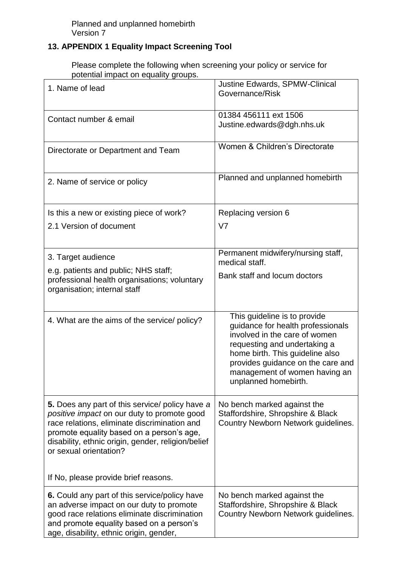## **13. APPENDIX 1 Equality Impact Screening Tool**

Please complete the following when screening your policy or service for potential impact on equality groups.

| 1. Name of lead                                                                                                                                                                                                                                                             | Justine Edwards, SPMW-Clinical<br>Governance/Risk                                                                                                                                                                                                                   |
|-----------------------------------------------------------------------------------------------------------------------------------------------------------------------------------------------------------------------------------------------------------------------------|---------------------------------------------------------------------------------------------------------------------------------------------------------------------------------------------------------------------------------------------------------------------|
| Contact number & email                                                                                                                                                                                                                                                      | 01384 456111 ext 1506<br>Justine.edwards@dgh.nhs.uk                                                                                                                                                                                                                 |
| Directorate or Department and Team                                                                                                                                                                                                                                          | Women & Children's Directorate                                                                                                                                                                                                                                      |
| 2. Name of service or policy                                                                                                                                                                                                                                                | Planned and unplanned homebirth                                                                                                                                                                                                                                     |
| Is this a new or existing piece of work?<br>2.1 Version of document                                                                                                                                                                                                         | Replacing version 6<br>V <sub>7</sub>                                                                                                                                                                                                                               |
| 3. Target audience<br>e.g. patients and public; NHS staff;<br>professional health organisations; voluntary<br>organisation; internal staff                                                                                                                                  | Permanent midwifery/nursing staff,<br>medical staff.<br>Bank staff and locum doctors                                                                                                                                                                                |
| 4. What are the aims of the service/ policy?                                                                                                                                                                                                                                | This guideline is to provide<br>guidance for health professionals<br>involved in the care of women<br>requesting and undertaking a<br>home birth. This guideline also<br>provides guidance on the care and<br>management of women having an<br>unplanned homebirth. |
| 5. Does any part of this service/ policy have a<br>positive impact on our duty to promote good<br>race relations, eliminate discrimination and<br>promote equality based on a person's age,<br>disability, ethnic origin, gender, religion/belief<br>or sexual orientation? | No bench marked against the<br>Staffordshire, Shropshire & Black<br>Country Newborn Network guidelines.                                                                                                                                                             |
| If No, please provide brief reasons.<br>6. Could any part of this service/policy have<br>an adverse impact on our duty to promote<br>good race relations eliminate discrimination<br>and promote equality based on a person's<br>age, disability, ethnic origin, gender,    | No bench marked against the<br>Staffordshire, Shropshire & Black<br>Country Newborn Network guidelines.                                                                                                                                                             |